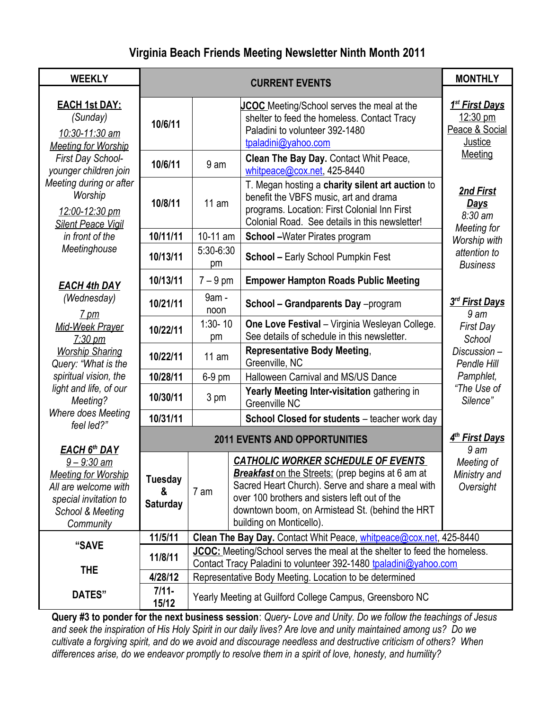# **Virginia Beach Friends Meeting Newsletter Ninth Month 2011**

| <b>WEEKLY</b>                                                                                                                                             |                                        | <b>CURRENT EVENTS</b>                                                                                                                         |                                                                                                                                                                                                                                                                                                                                               |                                                                     |  |  |
|-----------------------------------------------------------------------------------------------------------------------------------------------------------|----------------------------------------|-----------------------------------------------------------------------------------------------------------------------------------------------|-----------------------------------------------------------------------------------------------------------------------------------------------------------------------------------------------------------------------------------------------------------------------------------------------------------------------------------------------|---------------------------------------------------------------------|--|--|
| <b>EACH 1st DAY:</b><br>(Sunday)<br>10/6/11<br>10:30-11:30 am<br><b>Meeting for Worship</b>                                                               |                                        |                                                                                                                                               | <b>JCOC</b> Meeting/School serves the meal at the<br>shelter to feed the homeless. Contact Tracy<br>Paladini to volunteer 392-1480<br>tpaladini@yahoo.com                                                                                                                                                                                     | 1 <sup>st</sup> First Days<br>12:30 pm<br>Peace & Social<br>Justice |  |  |
| First Day School-<br>younger children join                                                                                                                | 10/6/11                                | 9 am                                                                                                                                          | Clean The Bay Day. Contact Whit Peace,<br>whitpeace@cox.net, 425-8440                                                                                                                                                                                                                                                                         | Meeting                                                             |  |  |
| Meeting during or after<br>Worship<br>12:00-12:30 pm<br><b>Silent Peace Vigil</b>                                                                         | 11 am<br>10/8/11                       |                                                                                                                                               | T. Megan hosting a charity silent art auction to<br>benefit the VBFS music, art and drama<br>programs. Location: First Colonial Inn First<br>Colonial Road. See details in this newsletter!                                                                                                                                                   | 2nd First<br><u>Days</u><br>$8:30 \text{ am}$                       |  |  |
| in front of the                                                                                                                                           | 10/11/11                               | 10-11 am                                                                                                                                      | <b>School</b> - Water Pirates program                                                                                                                                                                                                                                                                                                         | Meeting for<br>Worship with                                         |  |  |
| Meetinghouse                                                                                                                                              | 10/13/11                               | $5:30-6:30$<br>pm                                                                                                                             | attention to<br><b>Business</b>                                                                                                                                                                                                                                                                                                               |                                                                     |  |  |
| <b>EACH 4th DAY</b>                                                                                                                                       | 10/13/11                               |                                                                                                                                               | $7 - 9$ pm<br><b>Empower Hampton Roads Public Meeting</b>                                                                                                                                                                                                                                                                                     |                                                                     |  |  |
| (Wednesday)<br><u>7 pm</u>                                                                                                                                | 9am -<br>10/21/11<br>noon              |                                                                                                                                               | School - Grandparents Day -program                                                                                                                                                                                                                                                                                                            | 3rd First Days<br>9 am                                              |  |  |
| Mid-Week Prayer<br>$7:30 \text{ pm}$                                                                                                                      | 10/22/11                               | $1:30 - 10$<br>pm                                                                                                                             | One Love Festival - Virginia Wesleyan College.<br>See details of schedule in this newsletter.                                                                                                                                                                                                                                                 | <b>First Day</b><br>School                                          |  |  |
| <b>Worship Sharing</b><br>Query: "What is the                                                                                                             | 10/22/11                               | 11 am                                                                                                                                         | <b>Representative Body Meeting,</b><br>Greenville, NC                                                                                                                                                                                                                                                                                         | Discussion-<br>Pendle Hill                                          |  |  |
| spiritual vision, the                                                                                                                                     | 10/28/11                               | 6-9 pm                                                                                                                                        | Halloween Carnival and MS/US Dance                                                                                                                                                                                                                                                                                                            | Pamphlet,<br>"The Use of<br>Silence"                                |  |  |
| light and life, of our<br>Meeting?                                                                                                                        | 10/30/11                               | 3 pm                                                                                                                                          | Yearly Meeting Inter-visitation gathering in<br>Greenville NC                                                                                                                                                                                                                                                                                 |                                                                     |  |  |
| Where does Meeting<br>feel led?"                                                                                                                          | 10/31/11                               |                                                                                                                                               | School Closed for students - teacher work day                                                                                                                                                                                                                                                                                                 |                                                                     |  |  |
|                                                                                                                                                           |                                        | 4 <sup>th</sup> First Days                                                                                                                    |                                                                                                                                                                                                                                                                                                                                               |                                                                     |  |  |
| <b>EACH 6th DAY</b><br><u>9 – 9:30 am</u><br><b>Meeting for Worship</b><br>All are welcome with<br>special invitation to<br>School & Meeting<br>Community | <b>Tuesday</b><br>&<br><b>Saturday</b> | 7 am                                                                                                                                          | 9 am<br><b>CATHOLIC WORKER SCHEDULE OF EVENTS</b><br>Meeting of<br><b>Breakfast</b> on the Streets: (prep begins at 6 am at<br>Ministry and<br>Sacred Heart Church). Serve and share a meal with<br>Oversight<br>over 100 brothers and sisters left out of the<br>downtown boom, on Armistead St. (behind the HRT<br>building on Monticello). |                                                                     |  |  |
|                                                                                                                                                           | 11/5/11                                | Clean The Bay Day. Contact Whit Peace, whitpeace@cox.net, 425-8440                                                                            |                                                                                                                                                                                                                                                                                                                                               |                                                                     |  |  |
| "SAVE<br><b>THE</b>                                                                                                                                       | 11/8/11                                | JCOC: Meeting/School serves the meal at the shelter to feed the homeless.<br>Contact Tracy Paladini to volunteer 392-1480 tpaladini@yahoo.com |                                                                                                                                                                                                                                                                                                                                               |                                                                     |  |  |
|                                                                                                                                                           | 4/28/12                                | Representative Body Meeting. Location to be determined                                                                                        |                                                                                                                                                                                                                                                                                                                                               |                                                                     |  |  |
| DATES"                                                                                                                                                    | $7/11 -$<br>15/12                      | Yearly Meeting at Guilford College Campus, Greensboro NC                                                                                      |                                                                                                                                                                                                                                                                                                                                               |                                                                     |  |  |

**Query #3 to ponder for the next business session**: *Query- Love and Unity. Do we follow the teachings of Jesus and seek the inspiration of His Holy Spirit in our daily lives? Are love and unity maintained among us? Do we cultivate a forgiving spirit, and do we avoid and discourage needless and destructive criticism of others? When differences arise, do we endeavor promptly to resolve them in a spirit of love, honesty, and humility?*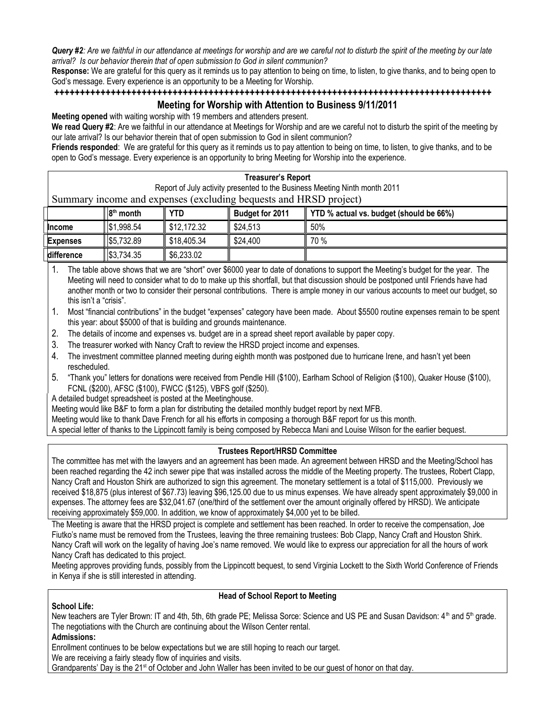*Query #2: Are we faithful in our attendance at meetings for worship and are we careful not to disturb the spirit of the meeting by our late arrival? Is our behavior therein that of open submission to God in silent communion?*

**Response:** We are grateful for this query as it reminds us to pay attention to being on time, to listen, to give thanks, and to being open to God's message. Every experience is an opportunity to be a Meeting for Worship.

#### **+++++++++++++++++++++++++++++++++++++++++++++++++++++++++++++++++++++++++++++++++++++**

# **Meeting for Worship with Attention to Business 9/11/2011**

**Meeting opened** with waiting worship with 19 members and attenders present.

**We read Query #2**: Are we faithful in our attendance at Meetings for Worship and are we careful not to disturb the spirit of the meeting by our late arrival? Is our behavior therein that of open submission to God in silent communion?

**Friends responded**: We are grateful for this query as it reminds us to pay attention to being on time, to listen, to give thanks, and to be open to God's message. Every experience is an opportunity to bring Meeting for Worship into the experience.

#### **Treasurer's Report**

Report of July activity presented to the Business Meeting Ninth month 2011 Summary income and expenses (excluding bequests and HRSD project)

|  |                 | $ 8th$ month | <b>YTD</b>  | <b>Budget for 2011</b> | YTD % actual vs. budget (should be 66%) |
|--|-----------------|--------------|-------------|------------------------|-----------------------------------------|
|  | <b>Income</b>   | ∥ \$1,998.54 | \$12.172.32 | \$24.513               | 50%                                     |
|  | <b>Expenses</b> | 155,732.89   | \$18.405.34 | \$24.400               | 70 %                                    |
|  | difference      | \$3,734.35   | \$6,233.02  |                        |                                         |

1. The table above shows that we are "short" over \$6000 year to date of donations to support the Meeting's budget for the year. The Meeting will need to consider what to do to make up this shortfall, but that discussion should be postponed until Friends have had another month or two to consider their personal contributions. There is ample money in our various accounts to meet our budget, so this isn't a "crisis".

1. Most "financial contributions" in the budget "expenses" category have been made. About \$5500 routine expenses remain to be spent this year: about \$5000 of that is building and grounds maintenance.

- 2. The details of income and expenses vs. budget are in a spread sheet report available by paper copy.
- 3. The treasurer worked with Nancy Craft to review the HRSD project income and expenses.
- 4. The investment committee planned meeting during eighth month was postponed due to hurricane Irene, and hasn't yet been rescheduled.
- 5. "Thank you" letters for donations were received from Pendle Hill (\$100), Earlham School of Religion (\$100), Quaker House (\$100), FCNL (\$200), AFSC (\$100), FWCC (\$125), VBFS golf (\$250).

A detailed budget spreadsheet is posted at the Meetinghouse.

Meeting would like B&F to form a plan for distributing the detailed monthly budget report by next MFB.

Meeting would like to thank Dave French for all his efforts in composing a thorough B&F report for us this month.

A special letter of thanks to the Lippincott family is being composed by Rebecca Mani and Louise Wilson for the earlier bequest.

## **Trustees Report/HRSD Committee**

The committee has met with the lawyers and an agreement has been made. An agreement between HRSD and the Meeting/School has been reached regarding the 42 inch sewer pipe that was installed across the middle of the Meeting property. The trustees, Robert Clapp, Nancy Craft and Houston Shirk are authorized to sign this agreement. The monetary settlement is a total of \$115,000. Previously we received \$18,875 (plus interest of \$67.73) leaving \$96,125.00 due to us minus expenses. We have already spent approximately \$9,000 in expenses. The attorney fees are \$32,041.67 (one/third of the settlement over the amount originally offered by HRSD). We anticipate receiving approximately \$59,000. In addition, we know of approximately \$4,000 yet to be billed.

The Meeting is aware that the HRSD project is complete and settlement has been reached. In order to receive the compensation, Joe Fiutko's name must be removed from the Trustees, leaving the three remaining trustees: Bob Clapp, Nancy Craft and Houston Shirk. Nancy Craft will work on the legality of having Joe's name removed. We would like to express our appreciation for all the hours of work Nancy Craft has dedicated to this project.

Meeting approves providing funds, possibly from the Lippincott bequest, to send Virginia Lockett to the Sixth World Conference of Friends in Kenya if she is still interested in attending.

#### **School Life:**

#### **Head of School Report to Meeting**

New teachers are Tyler Brown: IT and 4th, 5th, 6th grade PE; Melissa Sorce: Science and US PE and Susan Davidson: 4<sup>th</sup> and 5<sup>th</sup> grade. The negotiations with the Church are continuing about the Wilson Center rental.

## **Admissions:**

Enrollment continues to be below expectations but we are still hoping to reach our target.

We are receiving a fairly steady flow of inquiries and visits.

Grandparents' Day is the 21<sup>st</sup> of October and John Waller has been invited to be our guest of honor on that day.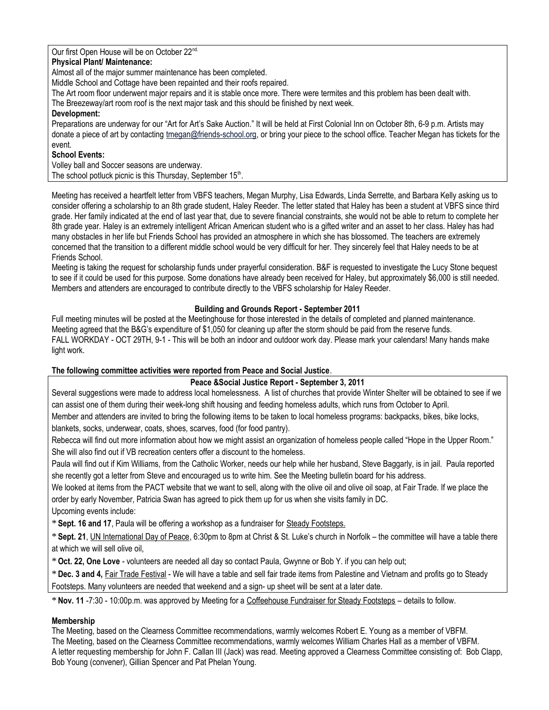Our first Open House will be on October 22<sup>nd.</sup>

## **Physical Plant/ Maintenance:**

Almost all of the major summer maintenance has been completed.

Middle School and Cottage have been repainted and their roofs repaired.

The Art room floor underwent major repairs and it is stable once more. There were termites and this problem has been dealt with.

The Breezeway/art room roof is the next major task and this should be finished by next week.

## **Development:**

Preparations are underway for our "Art for Art's Sake Auction." It will be held at First Colonial Inn on October 8th, 6-9 p.m. Artists may donate a piece of art by contacting [tmegan@friends-school.org](mailto:tmegan@friends-school.org), or bring your piece to the school office. Teacher Megan has tickets for the event.

# **School Events:**

Volley ball and Soccer seasons are underway. The school potluck picnic is this Thursday, September 15<sup>th</sup>.

Meeting has received a heartfelt letter from VBFS teachers, Megan Murphy, Lisa Edwards, Linda Serrette, and Barbara Kelly asking us to consider offering a scholarship to an 8th grade student, Haley Reeder. The letter stated that Haley has been a student at VBFS since third grade. Her family indicated at the end of last year that, due to severe financial constraints, she would not be able to return to complete her 8th grade year. Haley is an extremely intelligent African American student who is a gifted writer and an asset to her class. Haley has had many obstacles in her life but Friends School has provided an atmosphere in which she has blossomed. The teachers are extremely concerned that the transition to a different middle school would be very difficult for her. They sincerely feel that Haley needs to be at Friends School.

Meeting is taking the request for scholarship funds under prayerful consideration. B&F is requested to investigate the Lucy Stone bequest to see if it could be used for this purpose. Some donations have already been received for Haley, but approximately \$6,000 is still needed. Members and attenders are encouraged to contribute directly to the VBFS scholarship for Haley Reeder.

# **Building and Grounds Report - September 2011**

Full meeting minutes will be posted at the Meetinghouse for those interested in the details of completed and planned maintenance. Meeting agreed that the B&G's expenditure of \$1,050 for cleaning up after the storm should be paid from the reserve funds. FALL WORKDAY - OCT 29TH, 9-1 - This will be both an indoor and outdoor work day. Please mark your calendars! Many hands make light work.

# **The following committee activities were reported from Peace and Social Justice**.

# **Peace &Social Justice Report - September 3, 2011**

Several suggestions were made to address local homelessness. A list of churches that provide Winter Shelter will be obtained to see if we can assist one of them during their week-long shift housing and feeding homeless adults, which runs from October to April.

Member and attenders are invited to bring the following items to be taken to local homeless programs: backpacks, bikes, bike locks, blankets, socks, underwear, coats, shoes, scarves, food (for food pantry).

Rebecca will find out more information about how we might assist an organization of homeless people called "Hope in the Upper Room." She will also find out if VB recreation centers offer a discount to the homeless.

Paula will find out if Kim Williams, from the Catholic Worker, needs our help while her husband, Steve Baggarly, is in jail. Paula reported she recently got a letter from Steve and encouraged us to write him. See the Meeting bulletin board for his address.

We looked at items from the PACT website that we want to sell, along with the olive oil and olive oil soap, at Fair Trade. If we place the order by early November, Patricia Swan has agreed to pick them up for us when she visits family in DC.

Upcoming events include:

\* **Sept. 16 and 17**, Paula will be offering a workshop as a fundraiser for Steady Footsteps.

\* **Sept. 21**, UN International Day of Peace, 6:30pm to 8pm at Christ & St. Luke's church in Norfolk – the committee will have a table there at which we will sell olive oil,

\***Oct. 22, One Love** - volunteers are needed all day so contact Paula, Gwynne or Bob Y. if you can help out;

\* **Dec. 3 and 4,** Fair Trade Festival - We will have a table and sell fair trade items from Palestine and Vietnam and profits go to Steady Footsteps. Many volunteers are needed that weekend and a sign- up sheet will be sent at a later date.

\* **Nov. 11** -7:30 - 10:00p.m. was approved by Meeting for a Coffeehouse Fundraiser for Steady Footsteps – details to follow.

# **Membership**

The Meeting, based on the Clearness Committee recommendations, warmly welcomes Robert E. Young as a member of VBFM. The Meeting, based on the Clearness Committee recommendations, warmly welcomes William Charles Hall as a member of VBFM. A letter requesting membership for John F. Callan III (Jack) was read. Meeting approved a Clearness Committee consisting of: Bob Clapp, Bob Young (convener), Gillian Spencer and Pat Phelan Young.